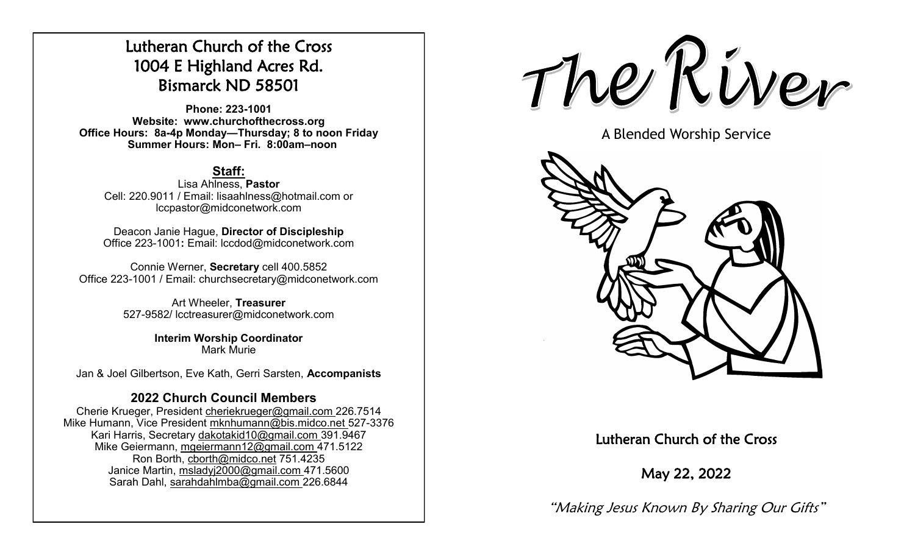# Lutheran Church of the Cross 1004 E Highland Acres Rd. Bismarck ND 58501

**Phone: 223-1001 Website: www.churchofthecross.org Office Hours: 8a-4p Monday—Thursday; 8 to noon Friday Summer Hours: Mon– Fri. 8:00am–noon**

### **Staff:**

Lisa Ahlness, **Pastor** Cell: 220.9011 / Email: lisaahlness@hotmail.com or lccpastor@midconetwork.com

Deacon Janie Hague, **Director of Discipleship** Office 223-1001**:** Email: lccdod@midconetwork.com

Connie Werner, **Secretary** cell 400.5852 Office 223-1001 / Email: churchsecretary@midconetwork.com

> Art Wheeler, **Treasurer** 527-9582/ lcctreasurer@midconetwork.com

> > **Interim Worship Coordinator**  Mark Murie

Jan & Joel Gilbertson, Eve Kath, Gerri Sarsten, **Accompanists**

### **2022 Church Council Members**

Cherie Krueger, President cheriekrueger@gmail.com 226.7514 Mike Humann, Vice President mknhumann@bis.midco.net 527-3376 Kari Harris, Secretary dakotakid10@gmail.com 391.9467 Mike Geiermann, mgeiermann12@gmail.com 471.5122 Ron Borth, [cborth@midco.net](mailto:cborth@midco.net) 751.4235 Janice Martin, msladyj2000@gmail.com 471.5600 Sarah Dahl, sarahdahlmba@gmail.com 226.6844

The River

A Blended Worship Service



Lutheran Church of the Cross

May 22, 2022

"Making Jesus Known By Sharing Our Gifts"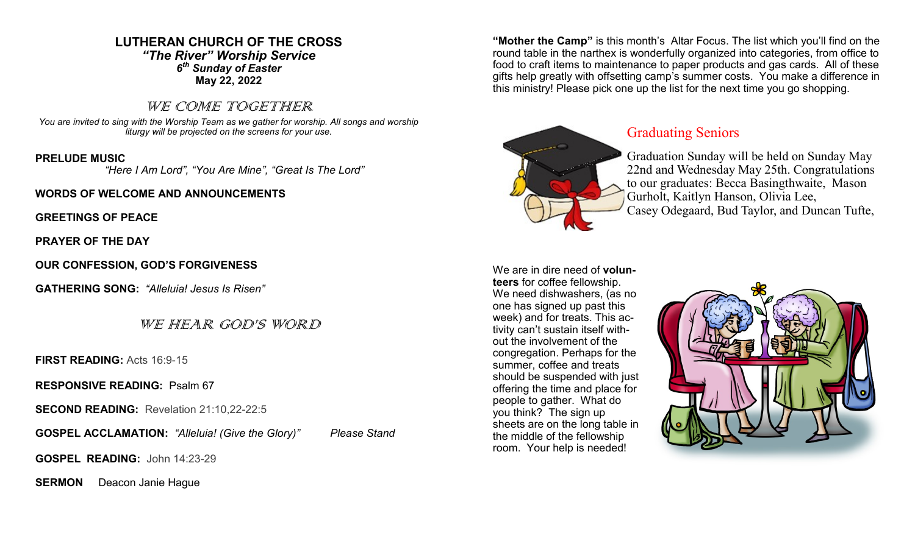### **LUTHERAN CHURCH OF THE CROSS** *"The River" Worship Service 6 th Sunday of Easter* **May 22, 2022**

### WE COME TOGETHER

*You are invited to sing with the Worship Team as we gather for worship. All songs and worship liturgy will be projected on the screens for your use.* 

#### **PRELUDE MUSIC**

 *"Here I Am Lord", "You Are Mine", "Great Is The Lord"*

### **WORDS OF WELCOME AND ANNOUNCEMENTS**

**GREETINGS OF PEACE**

**PRAYER OF THE DAY**

**OUR CONFESSION, GOD'S FORGIVENESS**

**GATHERING SONG:** *"Alleluia! Jesus Is Risen"*

WE HEAR GOD'S WORD

**FIRST READING:** Acts 16:9-15

**RESPONSIVE READING:** Psalm 67

**SECOND READING:** Revelation 21:10,22-22:5

**GOSPEL ACCLAMATION:** *"Alleluia! (Give the Glory)" Please Stand*

**GOSPEL READING:** John 14:23-29

**SERMON** Deacon Janie Haque

**"Mother the Camp"** is this month's Altar Focus. The list which you'll find on the round table in the narthex is wonderfully organized into categories, from office to food to craft items to maintenance to paper products and gas cards. All of these gifts help greatly with offsetting camp's summer costs. You make a difference in this ministry! Please pick one up the list for the next time you go shopping.



### Graduating Seniors

Graduation Sunday will be held on Sunday May 22nd and Wednesday May 25th. Congratulations to our graduates: Becca Basingthwaite, Mason Gurholt, Kaitlyn Hanson, Olivia Lee, Casey Odegaard, Bud Taylor, and Duncan Tufte,

We are in dire need of **volunteers** for coffee fellowship. We need dishwashers, (as no one has signed up past this week) and for treats. This activity can't sustain itself without the involvement of the congregation. Perhaps for the summer, coffee and treats should be suspended with just offering the time and place for people to gather. What do you think? The sign up sheets are on the long table in the middle of the fellowship room. Your help is needed!

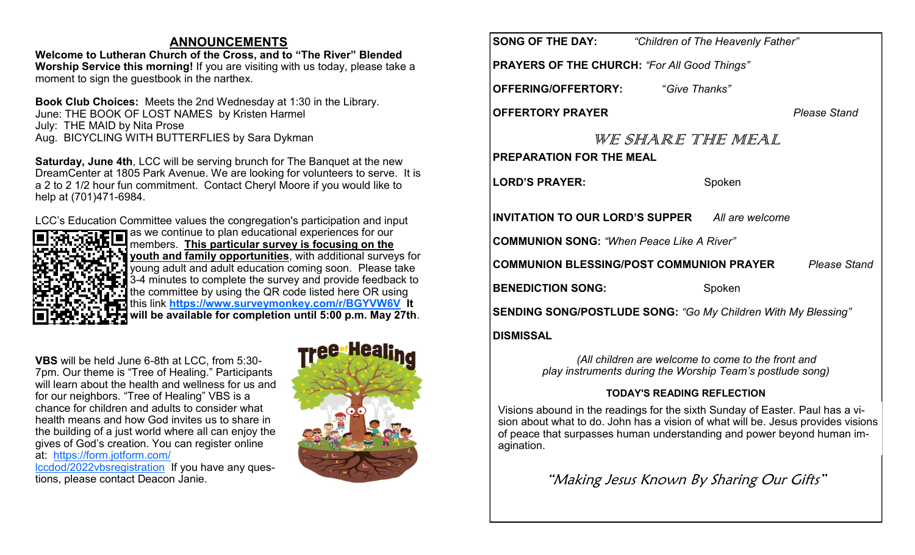### **ANNOUNCEMENTS**

**Welcome to Lutheran Church of the Cross, and to "The River" Blended Worship Service this morning!** If you are visiting with us today, please take a moment to sign the guestbook in the narthex.

**Book Club Choices:** Meets the 2nd Wednesday at 1:30 in the Library. June: THE BOOK OF LOST NAMES by Kristen Harmel July: THE MAID by Nita Prose Aug. BICYCLING WITH BUTTERFLIES by Sara Dykman

**Saturday, June 4th**, LCC will be serving brunch for The Banquet at the new DreamCenter at 1805 Park Avenue. We are looking for volunteers to serve. It is a 2 to 2 1/2 hour fun commitment. Contact Cheryl Moore if you would like to help at (701)471-6984.

LCC's Education Committee values the congregation's participation and input



as we continue to plan educational experiences for our members. **This particular survey is focusing on the youth and family opportunities**, with additional surveys for young adult and adult education coming soon. Please take 3-4 minutes to complete the survey and provide feedback to the committee by using the QR code listed here OR using this link **<https://www.surveymonkey.com/r/BGYVW6V> It will be available for completion until 5:00 p.m. May 27th**.

**VBS** will be held June 6-8th at LCC, from 5:30- 7pm. Our theme is "Tree of Healing." Participants will learn about the health and wellness for us and for our neighbors. "Tree of Healing" VBS is a chance for children and adults to consider what health means and how God invites us to share in the building of a just world where all can enjoy the gives of God's creation. You can register online at: [https://form.jotform.com/](https://form.jotform.com/lccdod/2022vbsregistration) [lccdod/2022vbsregistration](https://form.jotform.com/lccdod/2022vbsregistration) If you have any questions, please contact Deacon Janie.



|                                                                 | <b>SONG OF THE DAY:</b> "Children of The Heavenly Father" |  |  |
|-----------------------------------------------------------------|-----------------------------------------------------------|--|--|
| <b>PRAYERS OF THE CHURCH: "For All Good Things"</b>             |                                                           |  |  |
| <b>OFFERING/OFFERTORY:</b> "Give Thanks"                        |                                                           |  |  |
| <b>OFFERTORY PRAYER</b>                                         | <b>Please Stand</b>                                       |  |  |
| WE SHARE THE MEAL<br><b>PREPARATION FOR THE MEAL</b>            |                                                           |  |  |
| <b>LORD'S PRAYER:</b>                                           | Spoken                                                    |  |  |
|                                                                 | <b>INVITATION TO OUR LORD'S SUPPER</b> All are welcome    |  |  |
| <b>COMMUNION SONG: "When Peace Like A River"</b>                |                                                           |  |  |
| COMMUNION BLESSING/POST COMMUNION PRAYER<br><b>Please Stand</b> |                                                           |  |  |
| <b>BENEDICTION SONG:</b>                                        | Spoken                                                    |  |  |
| SENDING SONG/POSTLUDE SONG: "Go My Children With My Blessing"   |                                                           |  |  |
| DISMISSAL                                                       |                                                           |  |  |

*(All children are welcome to come to the front and play instruments during the Worship Team's postlude song)*

### **TODAY'S READING REFLECTION**

Visions abound in the readings for the sixth Sunday of Easter. Paul has a vision about what to do. John has a vision of what will be. Jesus provides visions of peace that surpasses human understanding and power beyond human imagination.

"Making Jesus Known By Sharing Our Gifts"